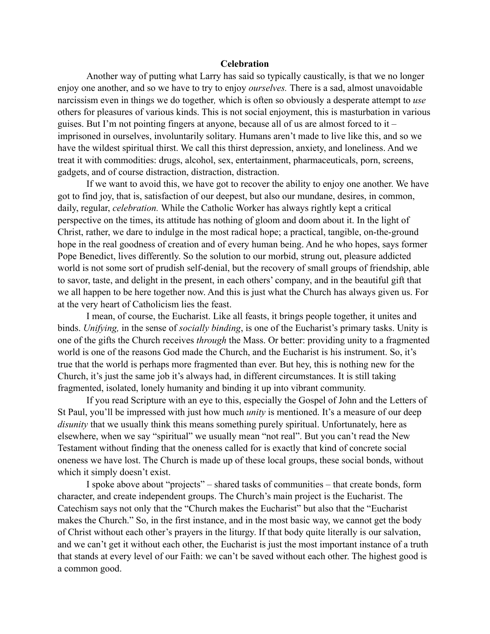## **Celebration**

Another way of putting what Larry has said so typically caustically, is that we no longer enjoy one another, and so we have to try to enjoy *ourselves.* There is a sad, almost unavoidable narcissism even in things we do together*,* which is often so obviously a desperate attempt to *use*  others for pleasures of various kinds. This is not social enjoyment, this is masturbation in various guises. But I'm not pointing fingers at anyone, because all of us are almost forced to it – imprisoned in ourselves, involuntarily solitary. Humans aren't made to live like this, and so we have the wildest spiritual thirst. We call this thirst depression, anxiety, and loneliness. And we treat it with commodities: drugs, alcohol, sex, entertainment, pharmaceuticals, porn, screens, gadgets, and of course distraction, distraction, distraction.

If we want to avoid this, we have got to recover the ability to enjoy one another. We have got to find joy, that is, satisfaction of our deepest, but also our mundane, desires, in common, daily, regular, *celebration.* While the Catholic Worker has always rightly kept a critical perspective on the times, its attitude has nothing of gloom and doom about it. In the light of Christ, rather, we dare to indulge in the most radical hope; a practical, tangible, on-the-ground hope in the real goodness of creation and of every human being. And he who hopes, says former Pope Benedict, lives differently. So the solution to our morbid, strung out, pleasure addicted world is not some sort of prudish self-denial, but the recovery of small groups of friendship, able to savor, taste, and delight in the present, in each others' company, and in the beautiful gift that we all happen to be here together now. And this is just what the Church has always given us. For at the very heart of Catholicism lies the feast.

I mean, of course, the Eucharist. Like all feasts, it brings people together, it unites and binds. *Unifying,* in the sense of *socially binding*, is one of the Eucharist's primary tasks. Unity is one of the gifts the Church receives *through* the Mass. Or better: providing unity to a fragmented world is one of the reasons God made the Church, and the Eucharist is his instrument. So, it's true that the world is perhaps more fragmented than ever. But hey, this is nothing new for the Church, it's just the same job it's always had, in different circumstances. It is still taking fragmented, isolated, lonely humanity and binding it up into vibrant community.

If you read Scripture with an eye to this, especially the Gospel of John and the Letters of St Paul, you'll be impressed with just how much *unity* is mentioned. It's a measure of our deep *disunity* that we usually think this means something purely spiritual. Unfortunately, here as elsewhere, when we say "spiritual" we usually mean "not real". But you can't read the New Testament without finding that the oneness called for is exactly that kind of concrete social oneness we have lost. The Church is made up of these local groups, these social bonds, without which it simply doesn't exist.

I spoke above about "projects" – shared tasks of communities – that create bonds, form character, and create independent groups. The Church's main project is the Eucharist. The Catechism says not only that the "Church makes the Eucharist" but also that the "Eucharist makes the Church." So, in the first instance, and in the most basic way, we cannot get the body of Christ without each other's prayers in the liturgy. If that body quite literally is our salvation, and we can't get it without each other, the Eucharist is just the most important instance of a truth that stands at every level of our Faith: we can't be saved without each other. The highest good is a common good.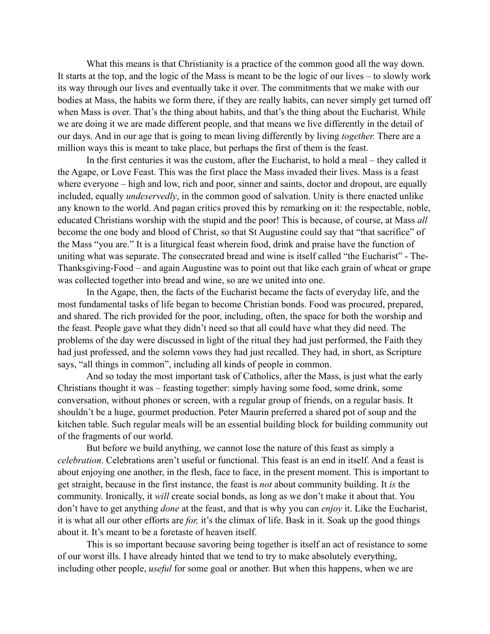What this means is that Christianity is a practice of the common good all the way down. It starts at the top, and the logic of the Mass is meant to be the logic of our lives – to slowly work its way through our lives and eventually take it over. The commitments that we make with our bodies at Mass, the habits we form there, if they are really habits, can never simply get turned off when Mass is over. That's the thing about habits, and that's the thing about the Eucharist. While we are doing it we are made different people, and that means we live differently in the detail of our days. And in our age that is going to mean living differently by living *together.* There are a million ways this is meant to take place, but perhaps the first of them is the feast.

In the first centuries it was the custom, after the Eucharist, to hold a meal – they called it the Agape, or Love Feast. This was the first place the Mass invaded their lives. Mass is a feast where everyone – high and low, rich and poor, sinner and saints, doctor and dropout, are equally included, equally *undeservedly*, in the common good of salvation. Unity is there enacted unlike any known to the world. And pagan critics proved this by remarking on it: the respectable, noble, educated Christians worship with the stupid and the poor! This is because, of course, at Mass *all* become the one body and blood of Christ, so that St Augustine could say that "that sacrifice" of the Mass "you are." It is a liturgical feast wherein food, drink and praise have the function of uniting what was separate. The consecrated bread and wine is itself called "the Eucharist" - The-Thanksgiving-Food – and again Augustine was to point out that like each grain of wheat or grape was collected together into bread and wine, so are we united into one.

In the Agape, then, the facts of the Eucharist became the facts of everyday life, and the most fundamental tasks of life began to become Christian bonds. Food was procured, prepared, and shared. The rich provided for the poor, including, often, the space for both the worship and the feast. People gave what they didn't need so that all could have what they did need. The problems of the day were discussed in light of the ritual they had just performed, the Faith they had just professed, and the solemn vows they had just recalled. They had, in short, as Scripture says, "all things in common", including all kinds of people in common.

And so today the most important task of Catholics, after the Mass, is just what the early Christians thought it was – feasting together: simply having some food, some drink, some conversation, without phones or screen, with a regular group of friends, on a regular basis. It shouldn't be a huge, gourmet production. Peter Maurin preferred a shared pot of soup and the kitchen table. Such regular meals will be an essential building block for building community out of the fragments of our world.

But before we build anything, we cannot lose the nature of this feast as simply a *celebration*. Celebrations aren't useful or functional. This feast is an end in itself. And a feast is about enjoying one another, in the flesh, face to face, in the present moment. This is important to get straight, because in the first instance, the feast is *not* about community building. It *is* the community. Ironically, it *will* create social bonds, as long as we don't make it about that. You don't have to get anything *done* at the feast, and that is why you can *enjoy* it. Like the Eucharist, it is what all our other efforts are *for,* it's the climax of life. Bask in it. Soak up the good things about it. It's meant to be a foretaste of heaven itself.

This is so important because savoring being together is itself an act of resistance to some of our worst ills. I have already hinted that we tend to try to make absolutely everything, including other people, *useful* for some goal or another. But when this happens, when we are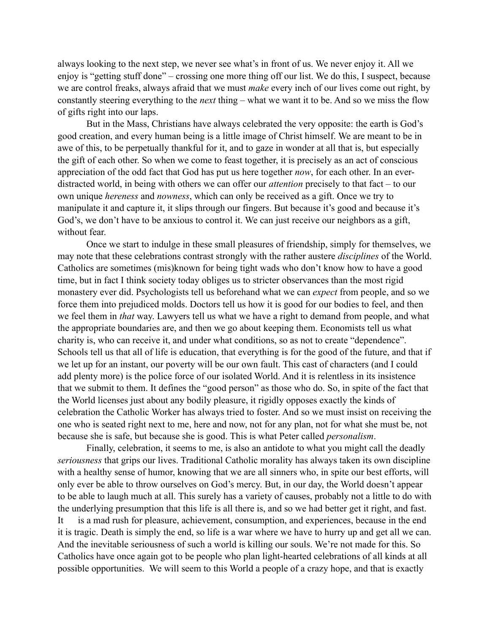always looking to the next step, we never see what's in front of us. We never enjoy it. All we enjoy is "getting stuff done" – crossing one more thing off our list. We do this, I suspect, because we are control freaks, always afraid that we must *make* every inch of our lives come out right, by constantly steering everything to the *next* thing – what we want it to be. And so we miss the flow of gifts right into our laps.

But in the Mass, Christians have always celebrated the very opposite: the earth is God's good creation, and every human being is a little image of Christ himself. We are meant to be in awe of this, to be perpetually thankful for it, and to gaze in wonder at all that is, but especially the gift of each other. So when we come to feast together, it is precisely as an act of conscious appreciation of the odd fact that God has put us here together *now*, for each other. In an everdistracted world, in being with others we can offer our *attention* precisely to that fact – to our own unique *hereness* and *nowness*, which can only be received as a gift. Once we try to manipulate it and capture it, it slips through our fingers. But because it's good and because it's God's, we don't have to be anxious to control it. We can just receive our neighbors as a gift, without fear.

Once we start to indulge in these small pleasures of friendship, simply for themselves, we may note that these celebrations contrast strongly with the rather austere *disciplines* of the World. Catholics are sometimes (mis)known for being tight wads who don't know how to have a good time, but in fact I think society today obliges us to stricter observances than the most rigid monastery ever did. Psychologists tell us beforehand what we can *expect* from people, and so we force them into prejudiced molds. Doctors tell us how it is good for our bodies to feel, and then we feel them in *that* way. Lawyers tell us what we have a right to demand from people, and what the appropriate boundaries are, and then we go about keeping them. Economists tell us what charity is, who can receive it, and under what conditions, so as not to create "dependence". Schools tell us that all of life is education, that everything is for the good of the future, and that if we let up for an instant, our poverty will be our own fault. This cast of characters (and I could add plenty more) is the police force of our isolated World. And it is relentless in its insistence that we submit to them. It defines the "good person" as those who do. So, in spite of the fact that the World licenses just about any bodily pleasure, it rigidly opposes exactly the kinds of celebration the Catholic Worker has always tried to foster. And so we must insist on receiving the one who is seated right next to me, here and now, not for any plan, not for what she must be, not because she is safe, but because she is good. This is what Peter called *personalism*.

Finally, celebration, it seems to me, is also an antidote to what you might call the deadly *seriousness* that grips our lives. Traditional Catholic morality has always taken its own discipline with a healthy sense of humor, knowing that we are all sinners who, in spite our best efforts, will only ever be able to throw ourselves on God's mercy. But, in our day, the World doesn't appear to be able to laugh much at all. This surely has a variety of causes, probably not a little to do with the underlying presumption that this life is all there is, and so we had better get it right, and fast. It is a mad rush for pleasure, achievement, consumption, and experiences, because in the end it is tragic. Death is simply the end, so life is a war where we have to hurry up and get all we can. And the inevitable seriousness of such a world is killing our souls. We're not made for this. So Catholics have once again got to be people who plan light-hearted celebrations of all kinds at all possible opportunities. We will seem to this World a people of a crazy hope, and that is exactly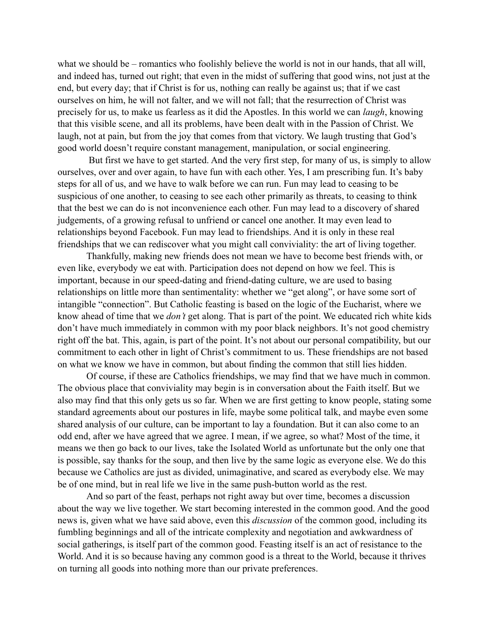what we should be – romantics who foolishly believe the world is not in our hands, that all will, and indeed has, turned out right; that even in the midst of suffering that good wins, not just at the end, but every day; that if Christ is for us, nothing can really be against us; that if we cast ourselves on him, he will not falter, and we will not fall; that the resurrection of Christ was precisely for us, to make us fearless as it did the Apostles. In this world we can *laugh*, knowing that this visible scene, and all its problems, have been dealt with in the Passion of Christ. We laugh, not at pain, but from the joy that comes from that victory. We laugh trusting that God's good world doesn't require constant management, manipulation, or social engineering.

 But first we have to get started. And the very first step, for many of us, is simply to allow ourselves, over and over again, to have fun with each other. Yes, I am prescribing fun. It's baby steps for all of us, and we have to walk before we can run. Fun may lead to ceasing to be suspicious of one another, to ceasing to see each other primarily as threats, to ceasing to think that the best we can do is not inconvenience each other. Fun may lead to a discovery of shared judgements, of a growing refusal to unfriend or cancel one another. It may even lead to relationships beyond Facebook. Fun may lead to friendships. And it is only in these real friendships that we can rediscover what you might call conviviality: the art of living together.

Thankfully, making new friends does not mean we have to become best friends with, or even like, everybody we eat with. Participation does not depend on how we feel. This is important, because in our speed-dating and friend-dating culture, we are used to basing relationships on little more than sentimentality: whether we "get along", or have some sort of intangible "connection". But Catholic feasting is based on the logic of the Eucharist, where we know ahead of time that we *don't* get along. That is part of the point. We educated rich white kids don't have much immediately in common with my poor black neighbors. It's not good chemistry right off the bat. This, again, is part of the point. It's not about our personal compatibility, but our commitment to each other in light of Christ's commitment to us. These friendships are not based on what we know we have in common, but about finding the common that still lies hidden.

Of course, if these are Catholics friendships, we may find that we have much in common. The obvious place that conviviality may begin is in conversation about the Faith itself. But we also may find that this only gets us so far. When we are first getting to know people, stating some standard agreements about our postures in life, maybe some political talk, and maybe even some shared analysis of our culture, can be important to lay a foundation. But it can also come to an odd end, after we have agreed that we agree. I mean, if we agree, so what? Most of the time, it means we then go back to our lives, take the Isolated World as unfortunate but the only one that is possible, say thanks for the soup, and then live by the same logic as everyone else. We do this because we Catholics are just as divided, unimaginative, and scared as everybody else. We may be of one mind, but in real life we live in the same push-button world as the rest.

And so part of the feast, perhaps not right away but over time, becomes a discussion about the way we live together. We start becoming interested in the common good. And the good news is, given what we have said above, even this *discussion* of the common good, including its fumbling beginnings and all of the intricate complexity and negotiation and awkwardness of social gatherings, is itself part of the common good. Feasting itself is an act of resistance to the World. And it is so because having any common good is a threat to the World, because it thrives on turning all goods into nothing more than our private preferences.